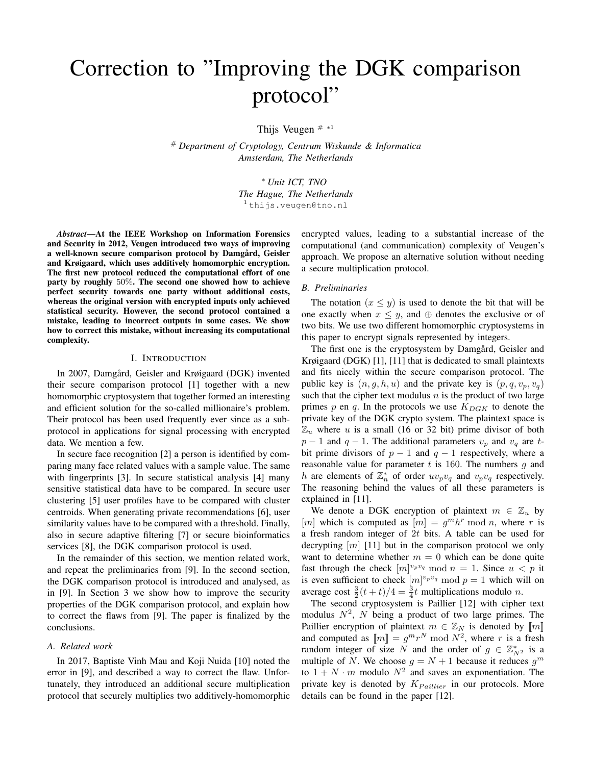# Correction to "Improving the DGK comparison protocol"

Thijs Veugen  $#$  \*1

# *Department of Cryptology, Centrum Wiskunde & Informatica Amsterdam, The Netherlands*

> <sup>∗</sup> *Unit ICT, TNO The Hague, The Netherlands* <sup>1</sup> thijs.veugen@tno.nl

*Abstract*—At the IEEE Workshop on Information Forensics and Security in 2012, Veugen introduced two ways of improving a well-known secure comparison protocol by Damgård, Geisler and Krøigaard, which uses additively homomorphic encryption. The first new protocol reduced the computational effort of one party by roughly 50%. The second one showed how to achieve perfect security towards one party without additional costs, whereas the original version with encrypted inputs only achieved statistical security. However, the second protocol contained a mistake, leading to incorrect outputs in some cases. We show how to correct this mistake, without increasing its computational complexity.

#### I. INTRODUCTION

In 2007, Damgård, Geisler and Krøigaard (DGK) invented their secure comparison protocol [1] together with a new homomorphic cryptosystem that together formed an interesting and efficient solution for the so-called millionaire's problem. Their protocol has been used frequently ever since as a subprotocol in applications for signal processing with encrypted data. We mention a few.

In secure face recognition [2] a person is identified by comparing many face related values with a sample value. The same with fingerprints [3]. In secure statistical analysis [4] many sensitive statistical data have to be compared. In secure user clustering [5] user profiles have to be compared with cluster centroids. When generating private recommendations [6], user similarity values have to be compared with a threshold. Finally, also in secure adaptive filtering [7] or secure bioinformatics services [8], the DGK comparison protocol is used.

In the remainder of this section, we mention related work, and repeat the preliminaries from [9]. In the second section, the DGK comparison protocol is introduced and analysed, as in [9]. In Section 3 we show how to improve the security properties of the DGK comparison protocol, and explain how to correct the flaws from [9]. The paper is finalized by the conclusions.

#### *A. Related work*

In 2017, Baptiste Vinh Mau and Koji Nuida [10] noted the error in [9], and described a way to correct the flaw. Unfortunately, they introduced an additional secure multiplication protocol that securely multiplies two additively-homomorphic encrypted values, leading to a substantial increase of the computational (and communication) complexity of Veugen's approach. We propose an alternative solution without needing a secure multiplication protocol.

## *B. Preliminaries*

The notation  $(x \leq y)$  is used to denote the bit that will be one exactly when  $x \leq y$ , and  $\oplus$  denotes the exclusive or of two bits. We use two different homomorphic cryptosystems in this paper to encrypt signals represented by integers.

The first one is the cryptosystem by Damgård, Geisler and Krøigaard (DGK) [1], [11] that is dedicated to small plaintexts and fits nicely within the secure comparison protocol. The public key is  $(n, g, h, u)$  and the private key is  $(p, q, v_p, v_q)$ such that the cipher text modulus  $n$  is the product of two large primes p en q. In the protocols we use  $K_{DGK}$  to denote the private key of the DGK crypto system. The plaintext space is  $\mathbb{Z}_u$  where u is a small (16 or 32 bit) prime divisor of both  $p-1$  and  $q-1$ . The additional parameters  $v_p$  and  $v_q$  are tbit prime divisors of  $p - 1$  and  $q - 1$  respectively, where a reasonable value for parameter  $t$  is 160. The numbers  $g$  and h are elements of  $\mathbb{Z}_n^*$  of order  $uv_pv_q$  and  $v_pv_q$  respectively. The reasoning behind the values of all these parameters is explained in [11].

We denote a DGK encryption of plaintext  $m \in \mathbb{Z}_u$  by [m] which is computed as  $[m] = g^m h^r \bmod n$ , where r is a fresh random integer of 2t bits. A table can be used for decrypting  $[m]$  [11] but in the comparison protocol we only want to determine whether  $m = 0$  which can be done quite fast through the check  $[m]^{v_p v_q} \mod n = 1$ . Since  $u < p$  it is even sufficient to check  $[m]^{v_p v_q} \mod p = 1$  which will on average cost  $\frac{3}{2}(t+t)/4 = \frac{3}{4}t$  multiplications modulo *n*.

The second cryptosystem is Paillier [12] with cipher text modulus  $N^2$ , N being a product of two large primes. The Paillier encryption of plaintext  $m \in \mathbb{Z}_N$  is denoted by  $\llbracket m \rrbracket$ and computed as  $[m] = g^m r^N \bmod N^2$ , where r is a fresh random integer of size N and the order of  $g \in \mathbb{Z}_{N^2}^*$  is a multiple of N. We choose  $g = N + 1$  because it reduces  $g^m$ to  $1 + N \cdot m$  modulo  $N^2$  and saves an exponentiation. The private key is denoted by  $K_{Paulier}$  in our protocols. More details can be found in the paper [12].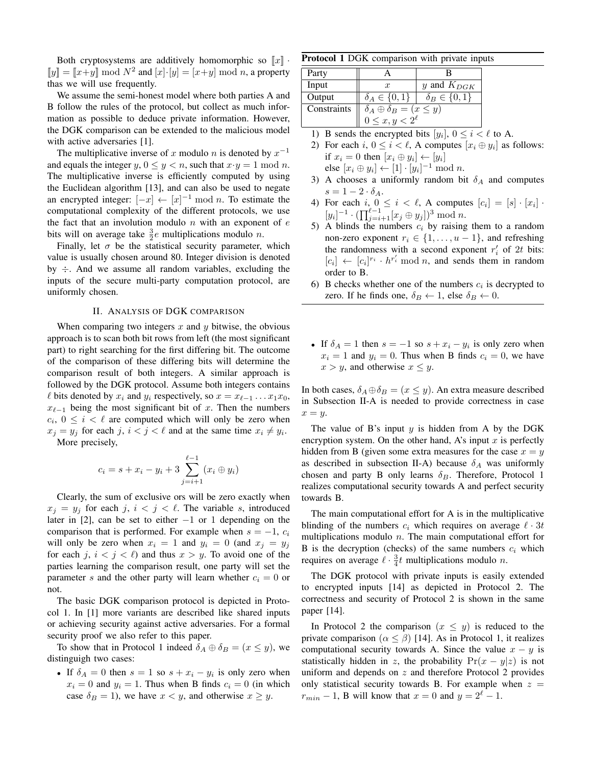Both cryptosystems are additively homomorphic so  $\llbracket x \rrbracket$  $\llbracket y \rrbracket = \llbracket x+y \rrbracket \bmod N^2$  and  $\llbracket x \rrbracket \cdot \llbracket y \rrbracket = \llbracket x+y \rrbracket \bmod n$ , a property thas we will use frequently.

We assume the semi-honest model where both parties A and B follow the rules of the protocol, but collect as much information as possible to deduce private information. However, the DGK comparison can be extended to the malicious model with active adversaries [1].

The multiplicative inverse of x modulo n is denoted by  $x^{-1}$ and equals the integer  $y, 0 \le y < n$ , such that  $x \cdot y = 1 \mod n$ . The multiplicative inverse is efficiently computed by using the Euclidean algorithm [13], and can also be used to negate an encrypted integer:  $[-x] \leftarrow [x]^{-1} \mod n$ . To estimate the computational complexity of the different protocols, we use the fact that an involution modulo  $n$  with an exponent of  $e$ bits will on average take  $\frac{3}{2}e$  multiplications modulo *n*.

Finally, let  $\sigma$  be the statistical security parameter, which value is usually chosen around 80. Integer division is denoted by  $\div$ . And we assume all random variables, excluding the inputs of the secure multi-party computation protocol, are uniformly chosen.

#### II. ANALYSIS OF DGK COMPARISON

When comparing two integers x and  $\gamma$  bitwise, the obvious approach is to scan both bit rows from left (the most significant part) to right searching for the first differing bit. The outcome of the comparison of these differing bits will determine the comparison result of both integers. A similar approach is followed by the DGK protocol. Assume both integers contains  $\ell$  bits denoted by  $x_i$  and  $y_i$  respectively, so  $x = x_{\ell-1} \dots x_1 x_0$ ,  $x_{\ell-1}$  being the most significant bit of x. Then the numbers  $c_i, 0 \leq i < \ell$  are computed which will only be zero when  $x_j = y_j$  for each j,  $i < j < \ell$  and at the same time  $x_i \neq y_i$ . More precisely,

$$
c_i = s + x_i - y_i + 3 \sum_{j=i+1}^{\ell-1} (x_i \oplus y_i)
$$

Clearly, the sum of exclusive ors will be zero exactly when  $x_j = y_j$  for each j,  $i < j < \ell$ . The variable s, introduced later in [2], can be set to either −1 or 1 depending on the comparison that is performed. For example when  $s = -1$ ,  $c_i$ will only be zero when  $x_i = 1$  and  $y_i = 0$  (and  $x_i = y_i$ ) for each j,  $i < j < \ell$ ) and thus  $x > y$ . To avoid one of the parties learning the comparison result, one party will set the parameter s and the other party will learn whether  $c_i = 0$  or not.

The basic DGK comparison protocol is depicted in Protocol 1. In [1] more variants are described like shared inputs or achieving security against active adversaries. For a formal security proof we also refer to this paper.

To show that in Protocol 1 indeed  $\delta_A \oplus \delta_B = (x \le y)$ , we distinguigh two cases:

• If  $\delta_A = 0$  then  $s = 1$  so  $s + x_i - y_i$  is only zero when  $x_i = 0$  and  $y_i = 1$ . Thus when B finds  $c_i = 0$  (in which case  $\delta_B = 1$ ), we have  $x < y$ , and otherwise  $x \ge y$ .

Protocol 1 DGK comparison with private inputs

| Party       |                                                                   |                        |  |  |  |
|-------------|-------------------------------------------------------------------|------------------------|--|--|--|
| Input       | $\boldsymbol{x}$                                                  | y and $K_{DGK}$        |  |  |  |
| Output      | $\delta_A \in \{0,1\}$                                            | $\delta_B \in \{0,1\}$ |  |  |  |
| Constraints | $\delta_A \oplus \delta_B = (x \le y)$<br>$0 \le x, y < 2^{\ell}$ |                        |  |  |  |
|             |                                                                   |                        |  |  |  |

1) B sends the encrypted bits  $[y_i]$ ,  $0 \le i \le \ell$  to A.

2) For each  $i, 0 \le i < \ell$ , A computes  $[x_i \oplus y_i]$  as follows: if  $x_i = 0$  then  $[x_i \oplus y_i] \leftarrow [y_i]$ 

else  $[x_i \oplus y_i] \leftarrow [1] \cdot [y_i]^{-1} \bmod n$ .

- 3) A chooses a uniformly random bit  $\delta_A$  and computes  $s=1-2\cdot\delta_A.$
- 4) For each  $i, 0 \le i < \ell$ , A computes  $[c_i] = [s] \cdot [x_i]$ .  $[y_i]^{-1} \cdot (\prod_{j=i+1}^{\ell-1} [x_j \oplus y_j])^3 \text{ mod } n.$
- 5) A blinds the numbers  $c_i$  by raising them to a random non-zero exponent  $r_i \in \{1, \ldots, u-1\}$ , and refreshing the randomness with a second exponent  $r_i'$  of 2t bits:  $[c_i] \leftarrow [c_i]^{r_i} \cdot h^{r_i'} \mod n$ , and sends them in random order to B.
- 6) B checks whether one of the numbers  $c_i$  is decrypted to zero. If he finds one,  $\delta_B \leftarrow 1$ , else  $\delta_B \leftarrow 0$ .
- If  $\delta_A = 1$  then  $s = -1$  so  $s + x_i y_i$  is only zero when  $x_i = 1$  and  $y_i = 0$ . Thus when B finds  $c_i = 0$ , we have  $x > y$ , and otherwise  $x \leq y$ .

In both cases,  $\delta_A \oplus \delta_B = (x \le y)$ . An extra measure described in Subsection II-A is needed to provide correctness in case  $x = y$ .

The value of B's input  $y$  is hidden from A by the DGK encryption system. On the other hand, A's input  $x$  is perfectly hidden from B (given some extra measures for the case  $x = y$ as described in subsection II-A) because  $\delta_A$  was uniformly chosen and party B only learns  $\delta_B$ . Therefore, Protocol 1 realizes computational security towards A and perfect security towards B.

The main computational effort for A is in the multiplicative blinding of the numbers  $c_i$  which requires on average  $\ell \cdot 3t$ multiplications modulo  $n$ . The main computational effort for B is the decryption (checks) of the same numbers  $c_i$  which requires on average  $\ell \cdot \frac{3}{4}t$  multiplications modulo n.

The DGK protocol with private inputs is easily extended to encrypted inputs [14] as depicted in Protocol 2. The correctness and security of Protocol 2 is shown in the same paper [14].

In Protocol 2 the comparison  $(x \leq y)$  is reduced to the private comparison ( $\alpha \leq \beta$ ) [14]. As in Protocol 1, it realizes computational security towards A. Since the value  $x - y$  is statistically hidden in z, the probability  $Pr(x - y|z)$  is not uniform and depends on  $z$  and therefore Protocol 2 provides only statistical security towards B. For example when  $z =$  $r_{min} - 1$ , B will know that  $x = 0$  and  $y = 2<sup>\ell</sup> - 1$ .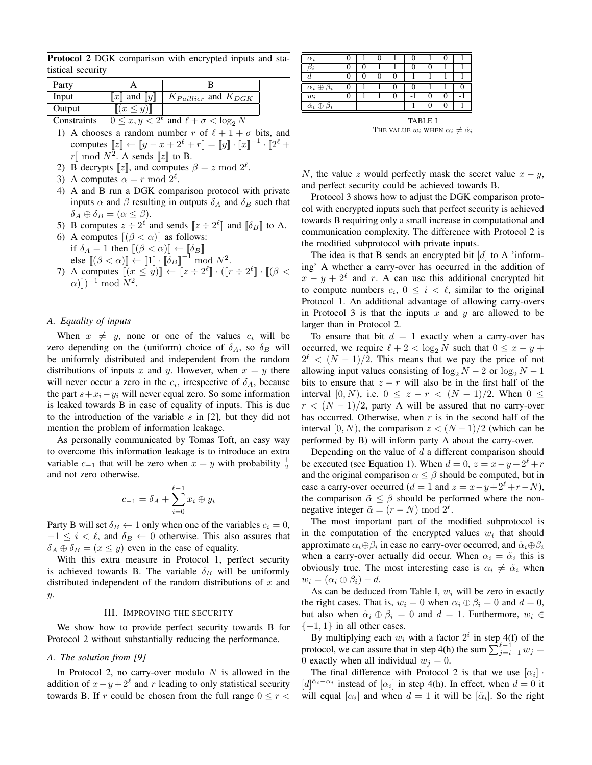Protocol 2 DGK comparison with encrypted inputs and statistical security

| Party       |                             |                                                         |
|-------------|-----------------------------|---------------------------------------------------------|
| Input       | $\ x\ $ and $\ y\ $         | $K_{Paillier}$ and $K_{DGK}$                            |
| Output      | $\left[ (x \leq y) \right]$ |                                                         |
| Constraints |                             | $0 \leq x, y < 2^{\ell}$ and $\ell + \sigma < \log_2 N$ |

- 1) A chooses a random number r of  $\ell + 1 + \sigma$  bits, and computes  $[[z]] \leftarrow [[y - x + 2^{\ell} + r]] = [[y]] \cdot [[x]]^{-1} \cdot [[2^{\ell} +$  $r \rrbracket \bmod N^2$ . A sends  $\llbracket z \rrbracket$  to B.
- 2) B decrypts  $[z]$ , and computes  $\beta = z \mod 2^{\ell}$ .
- 3) A computes  $\alpha = r \mod 2^{\ell}$ .
- 4) A and B run a DGK comparison protocol with private inputs  $\alpha$  and  $\beta$  resulting in outputs  $\delta_A$  and  $\delta_B$  such that  $\delta_A \oplus \delta_B = (\alpha \leq \beta).$
- 5) B computes  $z \div 2^{\ell}$  and sends  $[z \div 2^{\ell}]$  and  $[\![\delta_B]\!]$  to A.
- 6) A computes  $[(\beta < \alpha)]$  as follows: if  $\delta_A = 1$  then  $\left[ (\beta < \alpha) \right] \leftarrow \left[ \delta_B \right]$ else  $[(\beta < \alpha)] \leftarrow [1] \cdot [\overline{\delta}_B]^{-1} \mod N^2$ .
- 7) A computes  $\|(x \leq y)\| \leftarrow \|z \div 2^{\ell}\| \cdot (\|r \div 2^{\ell}\| \cdot \|(\beta \leq \ell)\|)$  $\alpha$ )])<sup>-1</sup> mod  $N^2$ .

## *A. Equality of inputs*

When  $x \neq y$ , none or one of the values  $c_i$  will be zero depending on the (uniform) choice of  $\delta_A$ , so  $\delta_B$  will be uniformly distributed and independent from the random distributions of inputs x and y. However, when  $x = y$  there will never occur a zero in the  $c_i$ , irrespective of  $\delta_A$ , because the part  $s+x_i-y_i$  will never equal zero. So some information is leaked towards B in case of equality of inputs. This is due to the introduction of the variable s in  $[2]$ , but they did not mention the problem of information leakage.

As personally communicated by Tomas Toft, an easy way to overcome this information leakage is to introduce an extra variable  $c_{-1}$  that will be zero when  $x = y$  with probability  $\frac{1}{2}$ and not zero otherwise.

$$
c_{-1} = \delta_A + \sum_{i=0}^{\ell-1} x_i \oplus y_i
$$

Party B will set  $\delta_B \leftarrow 1$  only when one of the variables  $c_i = 0$ ,  $-1 \leq i < \ell$ , and  $\delta_B \leftarrow 0$  otherwise. This also assures that  $\delta_A \oplus \delta_B = (x \le y)$  even in the case of equality.

With this extra measure in Protocol 1, perfect security is achieved towards B. The variable  $\delta_B$  will be uniformly distributed independent of the random distributions of  $x$  and y.

#### III. IMPROVING THE SECURITY

We show how to provide perfect security towards B for Protocol 2 without substantially reducing the performance.

## *A. The solution from [9]*

In Protocol 2, no carry-over modulo  $N$  is allowed in the addition of  $x - y + 2^{\ell}$  and r leading to only statistical security towards B. If r could be chosen from the full range  $0 \le r <$ 

| $\alpha_i$                                   |   | u |   |   |                |              |   |
|----------------------------------------------|---|---|---|---|----------------|--------------|---|
| J.                                           | U |   |   | 0 |                |              |   |
|                                              | U | u | U |   |                |              |   |
| $\alpha_i \oplus \beta_i$                    | U |   | U | 0 |                |              | O |
| $w_i$                                        | 0 |   | 0 |   |                | $\mathbf{0}$ |   |
| $\overline{\tilde{\alpha}_i \oplus \beta_i}$ |   |   |   |   |                |              |   |
|                                              |   |   |   |   | <b>TABLE I</b> |              |   |

THE VALUE  $w_i$  WHEN  $\alpha_i \neq \tilde{\alpha}_i$ 

N, the value z would perfectly mask the secret value  $x - y$ , and perfect security could be achieved towards B.

Protocol 3 shows how to adjust the DGK comparison protocol with encrypted inputs such that perfect security is achieved towards B requiring only a small increase in computational and communication complexity. The difference with Protocol 2 is the modified subprotocol with private inputs.

The idea is that B sends an encrypted bit  $[d]$  to A 'informing' A whether a carry-over has occurred in the addition of  $x - y + 2^{\ell}$  and r. A can use this additional encrypted bit to compute numbers  $c_i$ ,  $0 \le i \le \ell$ , similar to the original Protocol 1. An additional advantage of allowing carry-overs in Protocol 3 is that the inputs x and y are allowed to be larger than in Protocol 2.

To ensure that bit  $d = 1$  exactly when a carry-over has occurred, we require  $\ell + 2 < \log_2 N$  such that  $0 \le x - y +$  $2^{\ell} < (N-1)/2$ . This means that we pay the price of not allowing input values consisting of  $\log_2 N - 2$  or  $\log_2 N - 1$ bits to ensure that  $z - r$  will also be in the first half of the interval [0, N), i.e.  $0 \le z - r \le (N - 1)/2$ . When  $0 \le$  $r < (N-1)/2$ , party A will be assured that no carry-over has occurred. Otherwise, when  $r$  is in the second half of the interval [0, N), the comparison  $z < (N-1)/2$  (which can be performed by B) will inform party A about the carry-over.

Depending on the value of  $d$  a different comparison should be executed (see Equation 1). When  $d = 0$ ,  $z = x - y + 2^{\ell} + r$ and the original comparison  $\alpha \leq \beta$  should be computed, but in case a carry-over occurred ( $d = 1$  and  $z = x - y + 2^{\ell} + r - N$ ), the comparison  $\tilde{\alpha} \leq \beta$  should be performed where the nonnegative integer  $\tilde{\alpha} = (r - N) \text{ mod } 2^{\ell}$ .

The most important part of the modified subprotocol is in the computation of the encrypted values  $w_i$  that should approximate  $\alpha_i \oplus \beta_i$  in case no carry-over occurred, and  $\tilde{\alpha}_i \oplus \beta_i$ when a carry-over actually did occur. When  $\alpha_i = \tilde{\alpha}_i$  this is obviously true. The most interesting case is  $\alpha_i \neq \tilde{\alpha}_i$  when  $w_i = (\alpha_i \oplus \beta_i) - d.$ 

As can be deduced from Table I,  $w_i$  will be zero in exactly the right cases. That is,  $w_i = 0$  when  $\alpha_i \oplus \beta_i = 0$  and  $d = 0$ , but also when  $\tilde{\alpha}_i \oplus \beta_i = 0$  and  $d = 1$ . Furthermore,  $w_i \in$  ${-1, 1}$  in all other cases.

By multiplying each  $w_i$  with a factor  $2^i$  in step 4(f) of the protocol, we can assure that in step 4(h) the sum  $\sum_{j=i+1}^{\ell-1} w_j =$ 0 exactly when all individual  $w_i = 0$ .

The final difference with Protocol 2 is that we use  $[\alpha_i]$ .  $[d]^{\tilde{\alpha}_i - \alpha_i}$  instead of  $[\alpha_i]$  in step 4(h). In effect, when  $d = 0$  it will equal  $[\alpha_i]$  and when  $d = 1$  it will be  $[\tilde{\alpha}_i]$ . So the right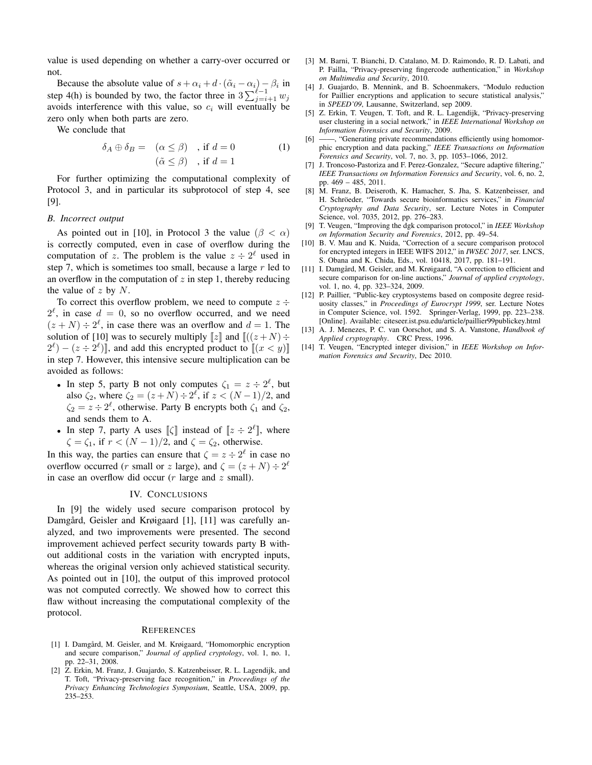value is used depending on whether a carry-over occurred or not.

Because the absolute value of  $s + \alpha_i + d \cdot (\tilde{\alpha}_i - \alpha_i) - \beta_i$  in step 4(h) is bounded by two, the factor three in  $3\sum_{j=i+1}^{\ell-1} w_j$ avoids interference with this value, so  $c_i$  will eventually be zero only when both parts are zero.

We conclude that

$$
\delta_A \oplus \delta_B = (\alpha \le \beta) , \text{ if } d = 0
$$
  

$$
(\tilde{\alpha} \le \beta) , \text{ if } d = 1
$$
 (1)

For further optimizing the computational complexity of Protocol 3, and in particular its subprotocol of step 4, see [9].

## *B. Incorrect output*

As pointed out in [10], in Protocol 3 the value ( $\beta < \alpha$ ) is correctly computed, even in case of overflow during the computation of z. The problem is the value  $z \div 2^{\ell}$  used in step 7, which is sometimes too small, because a large  $r$  led to an overflow in the computation of  $z$  in step 1, thereby reducing the value of  $z$  by  $N$ .

To correct this overflow problem, we need to compute  $z \div$  $2^{\ell}$ , in case  $d = 0$ , so no overflow occurred, and we need  $(z+N) \div 2^{\ell}$ , in case there was an overflow and  $d=1$ . The solution of [10] was to securely multiply  $[z]$  and  $[(z+N) \div$  $(2^{\ell}) - (z \div 2^{\ell})$ , and add this encrypted product to  $\llbracket (x < y) \rrbracket$ in step 7. However, this intensive secure multiplication can be avoided as follows:

- In step 5, party B not only computes  $\zeta_1 = z \div 2^{\ell}$ , but also  $\zeta_2$ , where  $\zeta_2 = (z + N) \div 2^{\ell}$ , if  $z < (N - 1)/2$ , and  $\zeta_2 = z \div 2^{\ell}$ , otherwise. Party B encrypts both  $\zeta_1$  and  $\zeta_2$ , and sends them to A.
- In step 7, party A uses  $\llbracket \zeta \rrbracket$  instead of  $\llbracket z \div 2^{\ell} \rrbracket$ , where  $\zeta = \zeta_1$ , if  $r < (N - 1)/2$ , and  $\zeta = \zeta_2$ , otherwise.

In this way, the parties can ensure that  $\zeta = z \div 2^{\ell}$  in case no overflow occurred (*r* small or *z* large), and  $\zeta = (z + N) \div 2^{\ell}$ in case an overflow did occur  $(r \text{ large and } z \text{ small}).$ 

# IV. CONCLUSIONS

In [9] the widely used secure comparison protocol by Damgård, Geisler and Krøigaard [1], [11] was carefully analyzed, and two improvements were presented. The second improvement achieved perfect security towards party B without additional costs in the variation with encrypted inputs, whereas the original version only achieved statistical security. As pointed out in [10], the output of this improved protocol was not computed correctly. We showed how to correct this flaw without increasing the computational complexity of the protocol.

#### **REFERENCES**

- [1] I. Damgård, M. Geisler, and M. Krøigaard, "Homomorphic encryption and secure comparison," *Journal of applied cryptology*, vol. 1, no. 1, pp. 22–31, 2008.
- [2] Z. Erkin, M. Franz, J. Guajardo, S. Katzenbeisser, R. L. Lagendijk, and T. Toft, "Privacy-preserving face recognition," in *Proceedings of the Privacy Enhancing Technologies Symposium*, Seattle, USA, 2009, pp. 235–253.
- [3] M. Barni, T. Bianchi, D. Catalano, M. D. Raimondo, R. D. Labati, and P. Failla, "Privacy-preserving fingercode authentication," in *Workshop on Multimedia and Security*, 2010.
- [4] J. Guajardo, B. Mennink, and B. Schoenmakers, "Modulo reduction for Paillier encryptions and application to secure statistical analysis," in *SPEED'09*, Lausanne, Switzerland, sep 2009.
- [5] Z. Erkin, T. Veugen, T. Toft, and R. L. Lagendijk, "Privacy-preserving user clustering in a social network," in *IEEE International Workshop on Information Forensics and Security*, 2009.
- [6] ——, "Generating private recommendations efficiently using homomorphic encryption and data packing," *IEEE Transactions on Information Forensics and Security*, vol. 7, no. 3, pp. 1053–1066, 2012.
- [7] J. Troncoso-Pastoriza and F. Perez-Gonzalez, "Secure adaptive filtering," *IEEE Transactions on Information Forensics and Security*, vol. 6, no. 2, pp. 469 – 485, 2011.
- [8] M. Franz, B. Deiseroth, K. Hamacher, S. Jha, S. Katzenbeisser, and H. Schröeder, "Towards secure bioinformatics services," in *Financial Cryptography and Data Security*, ser. Lecture Notes in Computer Science, vol. 7035, 2012, pp. 276–283.
- [9] T. Veugen, "Improving the dgk comparison protocol," in *IEEE Workshop on Information Security and Forensics*, 2012, pp. 49–54.
- [10] B. V. Mau and K. Nuida, "Correction of a secure comparison protocol for encrypted integers in IEEE WIFS 2012," in *IWSEC 2017*, ser. LNCS, S. Obana and K. Chida, Eds., vol. 10418, 2017, pp. 181–191.
- [11] I. Damgård, M. Geisler, and M. Krøigaard, "A correction to efficient and secure comparison for on-line auctions," *Journal of applied cryptology*, vol. 1, no. 4, pp. 323–324, 2009.
- [12] P. Paillier, "Public-key cryptosystems based on composite degree residuosity classes," in *Proceedings of Eurocrypt 1999*, ser. Lecture Notes in Computer Science, vol. 1592. Springer-Verlag, 1999, pp. 223–238. [Online]. Available: citeseer.ist.psu.edu/article/paillier99publickey.html
- [13] A. J. Menezes, P. C. van Oorschot, and S. A. Vanstone, *Handbook of Applied cryptography*. CRC Press, 1996.
- [14] T. Veugen, "Encrypted integer division," in *IEEE Workshop on Information Forensics and Security*, Dec 2010.